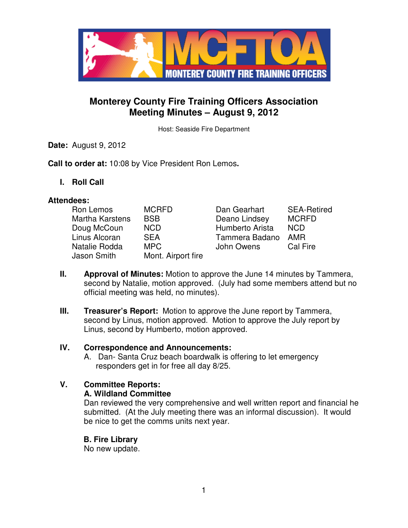

# **Monterey County Fire Training Officers Association Meeting Minutes – August 9, 2012**

Host: Seaside Fire Department

**Date:** August 9, 2012

**Call to order at:** 10:08 by Vice President Ron Lemos**.**

**I. Roll Call** 

### **Attendees:**

| Ron Lemos              | <b>MCRFD</b>       | Dan Gearhart    | <b>SEA-Retired</b> |
|------------------------|--------------------|-----------------|--------------------|
| <b>Martha Karstens</b> | <b>BSB</b>         | Deano Lindsey   | <b>MCRFD</b>       |
| Doug McCoun            | <b>NCD</b>         | Humberto Arista | <b>NCD</b>         |
| Linus Alcoran          | <b>SEA</b>         | Tammera Badano  | <b>AMR</b>         |
| Natalie Rodda          | <b>MPC</b>         | John Owens      | Cal Fire           |
| Jason Smith            | Mont. Airport fire |                 |                    |

- **II. Approval of Minutes:** Motion to approve the June 14 minutes by Tammera, second by Natalie, motion approved. (July had some members attend but no official meeting was held, no minutes).
- **III.** Treasurer's Report: Motion to approve the June report by Tammera, second by Linus, motion approved. Motion to approve the July report by Linus, second by Humberto, motion approved.

### **IV. Correspondence and Announcements:**

A. Dan- Santa Cruz beach boardwalk is offering to let emergency responders get in for free all day 8/25.

## **V. Committee Reports:**

### **A. Wildland Committee**

Dan reviewed the very comprehensive and well written report and financial he submitted. (At the July meeting there was an informal discussion). It would be nice to get the comms units next year.

 **B. Fire Library** No new update.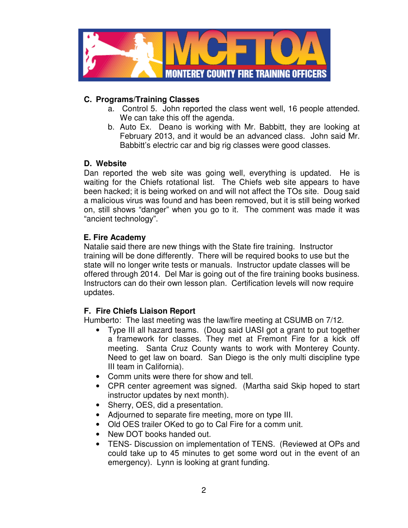

## **C. Programs/Training Classes**

- a. Control 5. John reported the class went well, 16 people attended. We can take this off the agenda.
- b. Auto Ex. Deano is working with Mr. Babbitt, they are looking at February 2013, and it would be an advanced class. John said Mr. Babbitt's electric car and big rig classes were good classes.

## **D. Website**

Dan reported the web site was going well, everything is updated. He is waiting for the Chiefs rotational list. The Chiefs web site appears to have been hacked; it is being worked on and will not affect the TOs site. Doug said a malicious virus was found and has been removed, but it is still being worked on, still shows "danger" when you go to it. The comment was made it was "ancient technology".

## **E. Fire Academy**

Natalie said there are new things with the State fire training. Instructor training will be done differently. There will be required books to use but the state will no longer write tests or manuals. Instructor update classes will be offered through 2014. Del Mar is going out of the fire training books business. Instructors can do their own lesson plan. Certification levels will now require updates.

## **F. Fire Chiefs Liaison Report**

Humberto: The last meeting was the law/fire meeting at CSUMB on 7/12.

- Type III all hazard teams. (Doug said UASI got a grant to put together a framework for classes. They met at Fremont Fire for a kick off meeting. Santa Cruz County wants to work with Monterey County. Need to get law on board. San Diego is the only multi discipline type III team in California).
- Comm units were there for show and tell.
- CPR center agreement was signed. (Martha said Skip hoped to start instructor updates by next month).
- Sherry, OES, did a presentation.
- Adjourned to separate fire meeting, more on type III.
- Old OES trailer OKed to go to Cal Fire for a comm unit.
- New DOT books handed out.
- TENS- Discussion on implementation of TENS. (Reviewed at OPs and could take up to 45 minutes to get some word out in the event of an emergency). Lynn is looking at grant funding.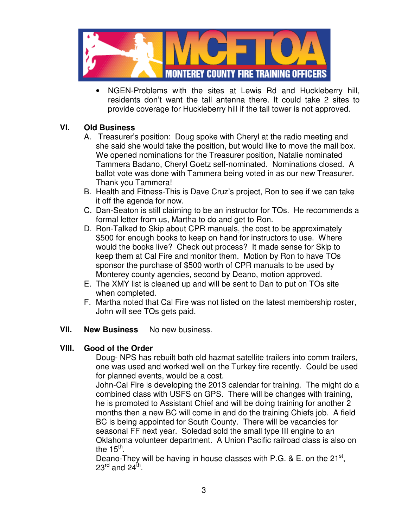

• NGEN-Problems with the sites at Lewis Rd and Huckleberry hill, residents don't want the tall antenna there. It could take 2 sites to provide coverage for Huckleberry hill if the tall tower is not approved.

### **VI. Old Business**

- A. Treasurer's position: Doug spoke with Cheryl at the radio meeting and she said she would take the position, but would like to move the mail box. We opened nominations for the Treasurer position, Natalie nominated Tammera Badano, Cheryl Goetz self-nominated. Nominations closed. A ballot vote was done with Tammera being voted in as our new Treasurer. Thank you Tammera!
- B. Health and Fitness-This is Dave Cruz's project, Ron to see if we can take it off the agenda for now.
- C. Dan-Seaton is still claiming to be an instructor for TOs. He recommends a formal letter from us, Martha to do and get to Ron.
- D. Ron-Talked to Skip about CPR manuals, the cost to be approximately \$500 for enough books to keep on hand for instructors to use. Where would the books live? Check out process? It made sense for Skip to keep them at Cal Fire and monitor them. Motion by Ron to have TOs sponsor the purchase of \$500 worth of CPR manuals to be used by Monterey county agencies, second by Deano, motion approved.
- E. The XMY list is cleaned up and will be sent to Dan to put on TOs site when completed.
- F. Martha noted that Cal Fire was not listed on the latest membership roster, John will see TOs gets paid.

### **VII.** New Business No new business.

### **VIII. Good of the Order**

Doug- NPS has rebuilt both old hazmat satellite trailers into comm trailers, one was used and worked well on the Turkey fire recently. Could be used for planned events, would be a cost.

John-Cal Fire is developing the 2013 calendar for training. The might do a combined class with USFS on GPS. There will be changes with training, he is promoted to Assistant Chief and will be doing training for another 2 months then a new BC will come in and do the training Chiefs job. A field BC is being appointed for South County. There will be vacancies for seasonal FF next year. Soledad sold the small type III engine to an Oklahoma volunteer department. A Union Pacific railroad class is also on the 15<sup>th</sup>.

Deano-They will be having in house classes with P.G. & E. on the  $21^{st}$ , 23 $^{\mathsf{rd}}$  and 24 $^{\mathsf{th}}$ .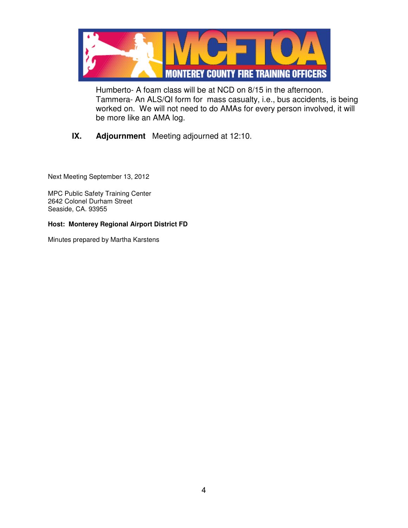

Humberto- A foam class will be at NCD on 8/15 in the afternoon. Tammera- An ALS/QI form for mass casualty, i.e., bus accidents, is being worked on. We will not need to do AMAs for every person involved, it will be more like an AMA log.

## **IX. Adjournment** Meeting adjourned at 12:10.

Next Meeting September 13, 2012

MPC Public Safety Training Center 2642 Colonel Durham Street Seaside, CA. 93955

#### **Host: Monterey Regional Airport District FD**

Minutes prepared by Martha Karstens